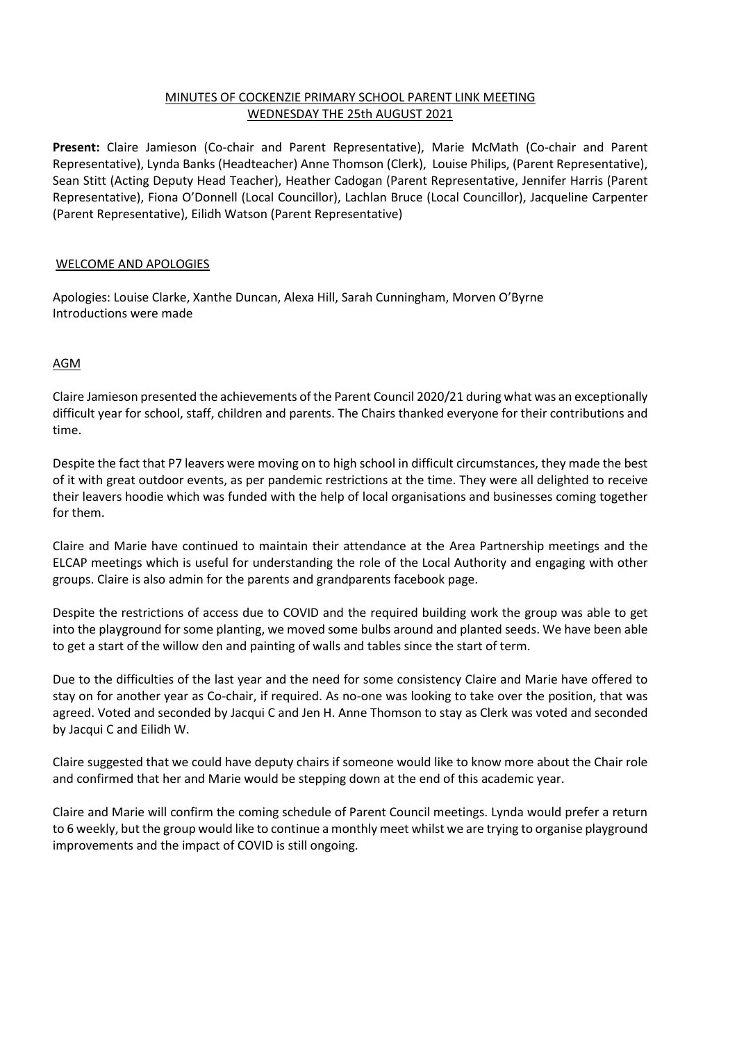# MINUTES OF COCKENZIE PRIMARY SCHOOL PARENT LINK MEETING WEDNESDAY THE 25th AUGUST 2021

**Present:** Claire Jamieson (Co-chair and Parent Representative), Marie McMath (Co-chair and Parent Representative), Lynda Banks (Headteacher) Anne Thomson (Clerk), Louise Philips, (Parent Representative), Sean Stitt (Acting Deputy Head Teacher), Heather Cadogan (Parent Representative, Jennifer Harris (Parent Representative), Fiona O'Donnell (Local Councillor), Lachlan Bruce (Local Councillor), Jacqueline Carpenter (Parent Representative), Eilidh Watson (Parent Representative)

## WELCOME AND APOLOGIES

Apologies: Louise Clarke, Xanthe Duncan, Alexa Hill, Sarah Cunningham, Morven O'Byrne Introductions were made

## AGM

Claire Jamieson presented the achievements of the Parent Council 2020/21 during what was an exceptionally difficult year for school, staff, children and parents. The Chairs thanked everyone for their contributions and time.

Despite the fact that P7 leavers were moving on to high school in difficult circumstances, they made the best of it with great outdoor events, as per pandemic restrictions at the time. They were all delighted to receive their leavers hoodie which was funded with the help of local organisations and businesses coming together for them.

Claire and Marie have continued to maintain their attendance at the Area Partnership meetings and the ELCAP meetings which is useful for understanding the role of the Local Authority and engaging with other groups. Claire is also admin for the parents and grandparents facebook page.

Despite the restrictions of access due to COVID and the required building work the group was able to get into the playground for some planting, we moved some bulbs around and planted seeds. We have been able to get a start of the willow den and painting of walls and tables since the start of term.

Due to the difficulties of the last year and the need for some consistency Claire and Marie have offered to stay on for another year as Co-chair, if required. As no-one was looking to take over the position, that was agreed. Voted and seconded by Jacqui C and Jen H. Anne Thomson to stay as Clerk was voted and seconded by Jacqui C and Eilidh W.

Claire suggested that we could have deputy chairs if someone would like to know more about the Chair role and confirmed that her and Marie would be stepping down at the end of this academic year.

Claire and Marie will confirm the coming schedule of Parent Council meetings. Lynda would prefer a return to 6 weekly, but the group would like to continue a monthly meet whilst we are trying to organise playground improvements and the impact of COVID is still ongoing.